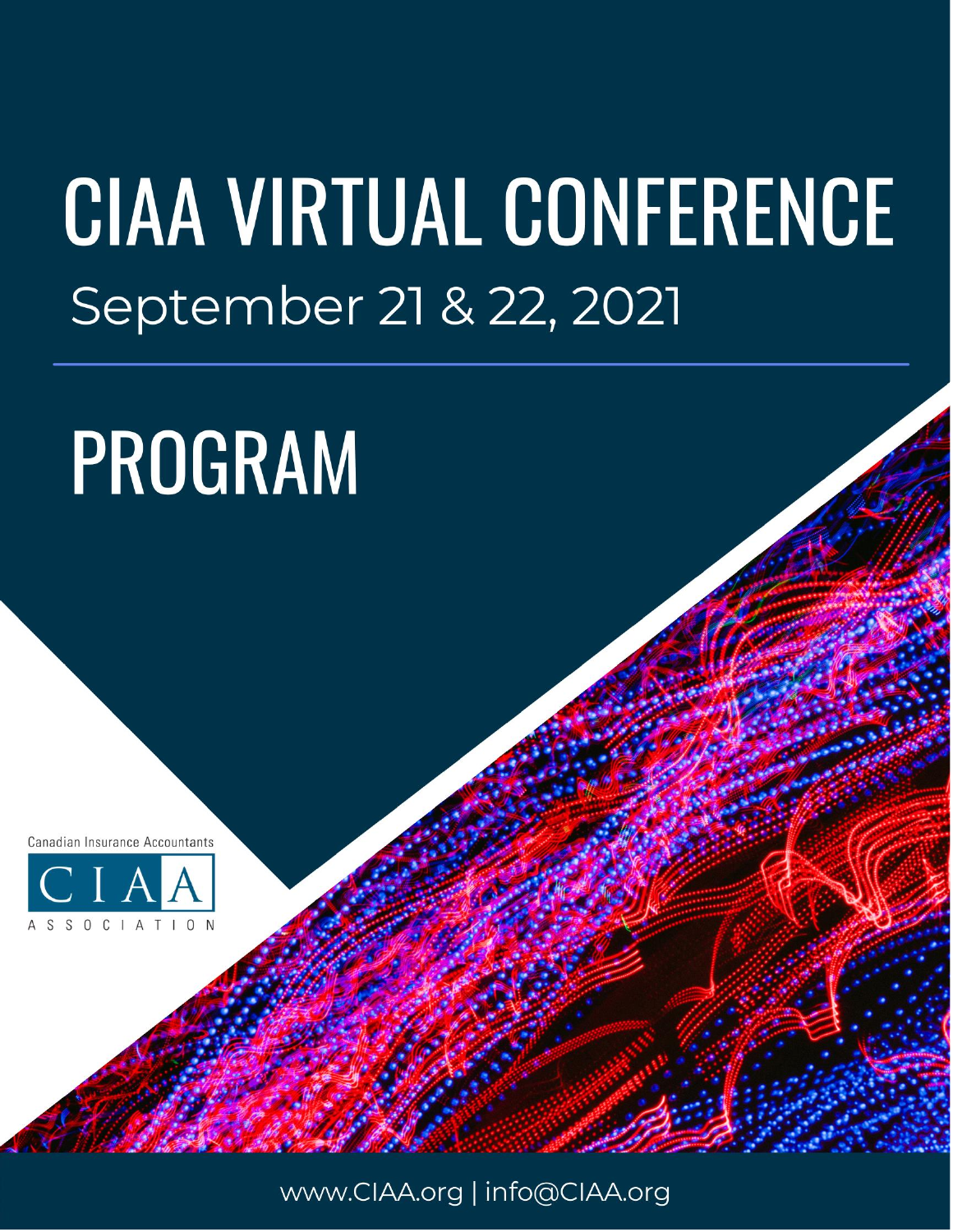## **CIAA VIRTUAL CONFERENCE** September 21 & 22, 2021

# PROGRAM

Canadian Insurance Accountants



www.CIAA.org | info@CIAA.org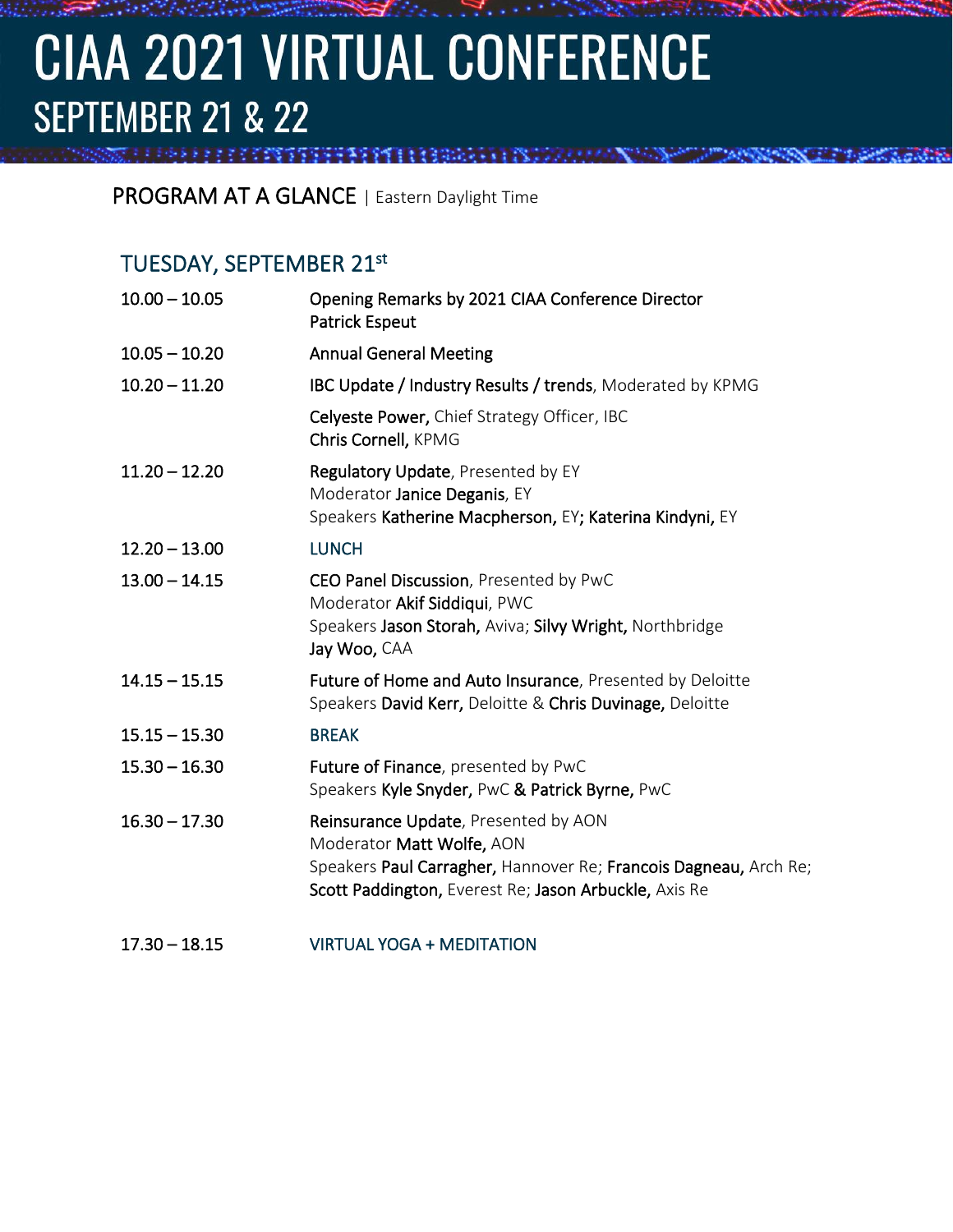### **CIAA 2021 VIRTUAL CONFERENCE SEPTEMBER 21 & 22**

PROGRAM AT A GLANCE | Eastern Daylight Time

*TENTISTICAL CONTRACTOR* 

#### TUESDAY, SEPTEMBER 21st

| $10.00 - 10.05$ | Opening Remarks by 2021 CIAA Conference Director<br><b>Patrick Espeut</b>                                                                                                                      |
|-----------------|------------------------------------------------------------------------------------------------------------------------------------------------------------------------------------------------|
| $10.05 - 10.20$ | <b>Annual General Meeting</b>                                                                                                                                                                  |
| $10.20 - 11.20$ | IBC Update / Industry Results / trends, Moderated by KPMG                                                                                                                                      |
|                 | Celyeste Power, Chief Strategy Officer, IBC<br>Chris Cornell, KPMG                                                                                                                             |
| $11.20 - 12.20$ | Regulatory Update, Presented by EY<br>Moderator Janice Deganis, EY<br>Speakers Katherine Macpherson, EY; Katerina Kindyni, EY                                                                  |
| $12.20 - 13.00$ | <b>LUNCH</b>                                                                                                                                                                                   |
| $13.00 - 14.15$ | CEO Panel Discussion, Presented by PwC<br>Moderator Akif Siddiqui, PWC<br>Speakers Jason Storah, Aviva; Silvy Wright, Northbridge<br>Jay Woo, CAA                                              |
| $14.15 - 15.15$ | Future of Home and Auto Insurance, Presented by Deloitte<br>Speakers David Kerr, Deloitte & Chris Duvinage, Deloitte                                                                           |
| $15.15 - 15.30$ | <b>BREAK</b>                                                                                                                                                                                   |
| $15.30 - 16.30$ | Future of Finance, presented by PwC<br>Speakers Kyle Snyder, PwC & Patrick Byrne, PwC                                                                                                          |
| $16.30 - 17.30$ | Reinsurance Update, Presented by AON<br>Moderator Matt Wolfe, AON<br>Speakers Paul Carragher, Hannover Re; Francois Dagneau, Arch Re;<br>Scott Paddington, Everest Re; Jason Arbuckle, Axis Re |

17.30 – 18.15 VIRTUAL YOGA + MEDITATION